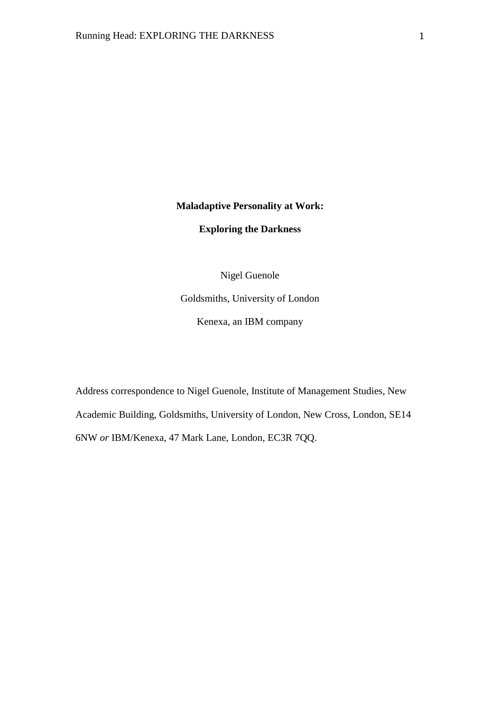# **Maladaptive Personality at Work:**

# **Exploring the Darkness**

Nigel Guenole Goldsmiths, University of London Kenexa, an IBM company

Address correspondence to Nigel Guenole, Institute of Management Studies, New Academic Building, Goldsmiths, University of London, New Cross, London, SE14 6NW *or* IBM/Kenexa, 47 Mark Lane, London, EC3R 7QQ.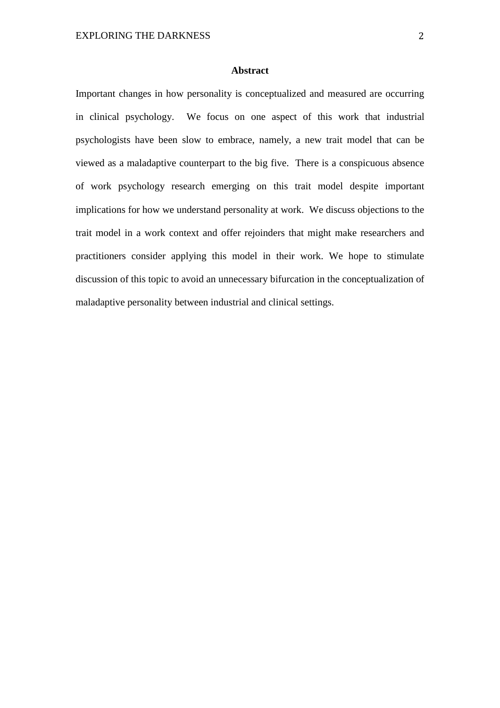### **Abstract**

Important changes in how personality is conceptualized and measured are occurring in clinical psychology. We focus on one aspect of this work that industrial psychologists have been slow to embrace, namely, a new trait model that can be viewed as a maladaptive counterpart to the big five. There is a conspicuous absence of work psychology research emerging on this trait model despite important implications for how we understand personality at work. We discuss objections to the trait model in a work context and offer rejoinders that might make researchers and practitioners consider applying this model in their work. We hope to stimulate discussion of this topic to avoid an unnecessary bifurcation in the conceptualization of maladaptive personality between industrial and clinical settings.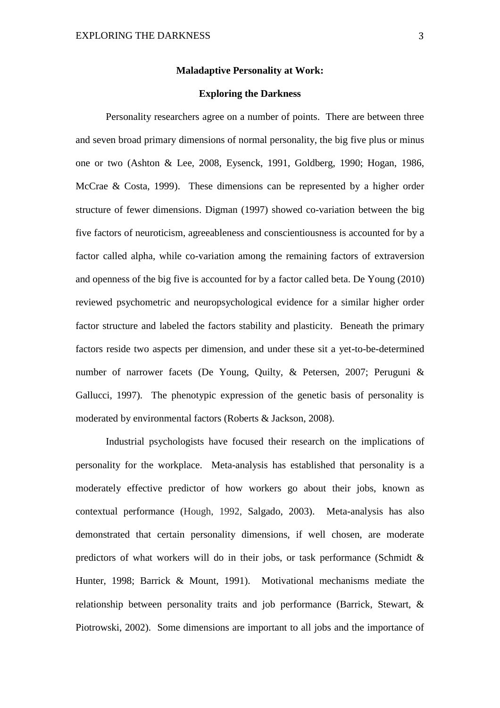#### **Maladaptive Personality at Work:**

### **Exploring the Darkness**

Personality researchers agree on a number of points. There are between three and seven broad primary dimensions of normal personality, the big five plus or minus one or two (Ashton & Lee, 2008, Eysenck, 1991, Goldberg, 1990; Hogan, 1986, McCrae & Costa, 1999). These dimensions can be represented by a higher order structure of fewer dimensions. Digman (1997) showed co-variation between the big five factors of neuroticism, agreeableness and conscientiousness is accounted for by a factor called alpha, while co-variation among the remaining factors of extraversion and openness of the big five is accounted for by a factor called beta. De Young (2010) reviewed psychometric and neuropsychological evidence for a similar higher order factor structure and labeled the factors stability and plasticity. Beneath the primary factors reside two aspects per dimension, and under these sit a yet-to-be-determined number of narrower facets (De Young, Quilty, & Petersen, 2007; Peruguni & Gallucci, 1997). The phenotypic expression of the genetic basis of personality is moderated by environmental factors (Roberts & Jackson, 2008).

Industrial psychologists have focused their research on the implications of personality for the workplace. Meta-analysis has established that personality is a moderately effective predictor of how workers go about their jobs, known as contextual performance (Hough, 1992, Salgado, 2003). Meta-analysis has also demonstrated that certain personality dimensions, if well chosen, are moderate predictors of what workers will do in their jobs, or task performance (Schmidt & Hunter, 1998; Barrick & Mount, 1991). Motivational mechanisms mediate the relationship between personality traits and job performance (Barrick, Stewart, & Piotrowski, 2002). Some dimensions are important to all jobs and the importance of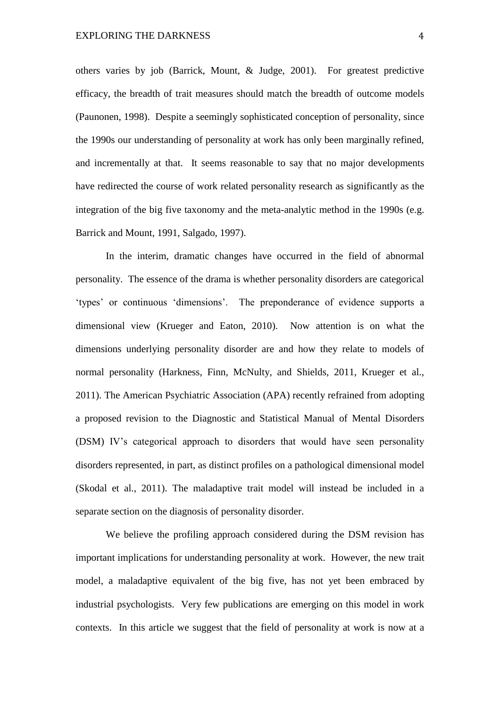others varies by job (Barrick, Mount, & Judge, 2001). For greatest predictive efficacy, the breadth of trait measures should match the breadth of outcome models (Paunonen, 1998). Despite a seemingly sophisticated conception of personality, since the 1990s our understanding of personality at work has only been marginally refined, and incrementally at that. It seems reasonable to say that no major developments have redirected the course of work related personality research as significantly as the integration of the big five taxonomy and the meta-analytic method in the 1990s (e.g. Barrick and Mount, 1991, Salgado, 1997).

In the interim, dramatic changes have occurred in the field of abnormal personality. The essence of the drama is whether personality disorders are categorical 'types' or continuous 'dimensions'. The preponderance of evidence supports a dimensional view (Krueger and Eaton, 2010). Now attention is on what the dimensions underlying personality disorder are and how they relate to models of normal personality (Harkness, Finn, McNulty, and Shields, 2011, Krueger et al., 2011). The American Psychiatric Association (APA) recently refrained from adopting a proposed revision to the Diagnostic and Statistical Manual of Mental Disorders (DSM) IV's categorical approach to disorders that would have seen personality disorders represented, in part, as distinct profiles on a pathological dimensional model (Skodal et al., 2011). The maladaptive trait model will instead be included in a separate section on the diagnosis of personality disorder.

We believe the profiling approach considered during the DSM revision has important implications for understanding personality at work. However, the new trait model, a maladaptive equivalent of the big five, has not yet been embraced by industrial psychologists. Very few publications are emerging on this model in work contexts. In this article we suggest that the field of personality at work is now at a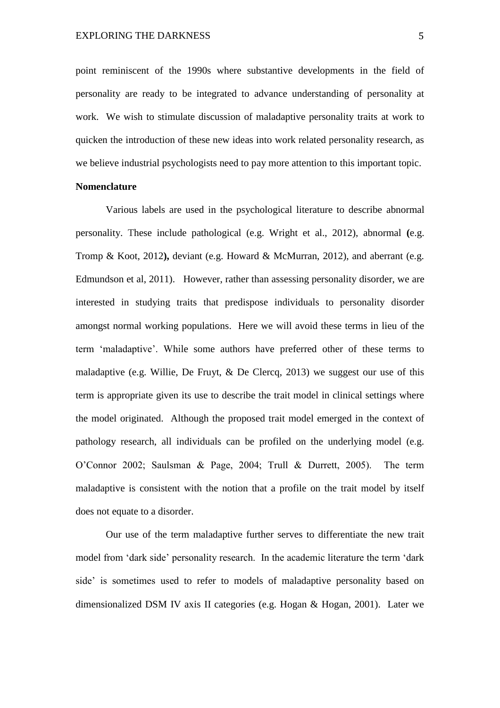point reminiscent of the 1990s where substantive developments in the field of personality are ready to be integrated to advance understanding of personality at work. We wish to stimulate discussion of maladaptive personality traits at work to quicken the introduction of these new ideas into work related personality research, as we believe industrial psychologists need to pay more attention to this important topic.

### **Nomenclature**

Various labels are used in the psychological literature to describe abnormal personality. These include pathological (e.g. Wright et al., 2012), abnormal **(**e.g. Tromp & Koot, 2012**),** deviant (e.g. Howard & McMurran, 2012), and aberrant (e.g. Edmundson et al, 2011). However, rather than assessing personality disorder, we are interested in studying traits that predispose individuals to personality disorder amongst normal working populations. Here we will avoid these terms in lieu of the term 'maladaptive'. While some authors have preferred other of these terms to maladaptive (e.g. Willie, De Fruyt, & De Clercq, 2013) we suggest our use of this term is appropriate given its use to describe the trait model in clinical settings where the model originated. Although the proposed trait model emerged in the context of pathology research, all individuals can be profiled on the underlying model (e.g. O'Connor 2002; Saulsman & Page, 2004; Trull & Durrett, 2005). The term maladaptive is consistent with the notion that a profile on the trait model by itself does not equate to a disorder.

Our use of the term maladaptive further serves to differentiate the new trait model from 'dark side' personality research. In the academic literature the term 'dark side' is sometimes used to refer to models of maladaptive personality based on dimensionalized DSM IV axis II categories (e.g. Hogan & Hogan, 2001). Later we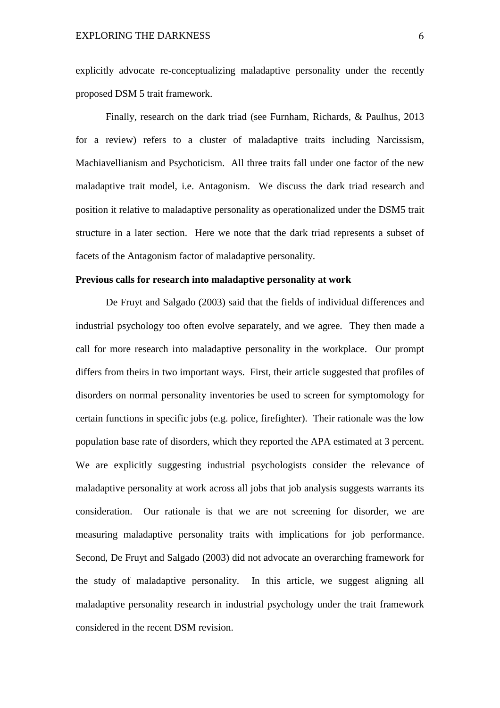explicitly advocate re-conceptualizing maladaptive personality under the recently proposed DSM 5 trait framework.

Finally, research on the dark triad (see Furnham, Richards, & Paulhus, 2013 for a review) refers to a cluster of maladaptive traits including Narcissism, Machiavellianism and Psychoticism. All three traits fall under one factor of the new maladaptive trait model, i.e. Antagonism. We discuss the dark triad research and position it relative to maladaptive personality as operationalized under the DSM5 trait structure in a later section. Here we note that the dark triad represents a subset of facets of the Antagonism factor of maladaptive personality.

### **Previous calls for research into maladaptive personality at work**

De Fruyt and Salgado (2003) said that the fields of individual differences and industrial psychology too often evolve separately, and we agree. They then made a call for more research into maladaptive personality in the workplace. Our prompt differs from theirs in two important ways. First, their article suggested that profiles of disorders on normal personality inventories be used to screen for symptomology for certain functions in specific jobs (e.g. police, firefighter). Their rationale was the low population base rate of disorders, which they reported the APA estimated at 3 percent. We are explicitly suggesting industrial psychologists consider the relevance of maladaptive personality at work across all jobs that job analysis suggests warrants its consideration. Our rationale is that we are not screening for disorder, we are measuring maladaptive personality traits with implications for job performance. Second, De Fruyt and Salgado (2003) did not advocate an overarching framework for the study of maladaptive personality. In this article, we suggest aligning all maladaptive personality research in industrial psychology under the trait framework considered in the recent DSM revision.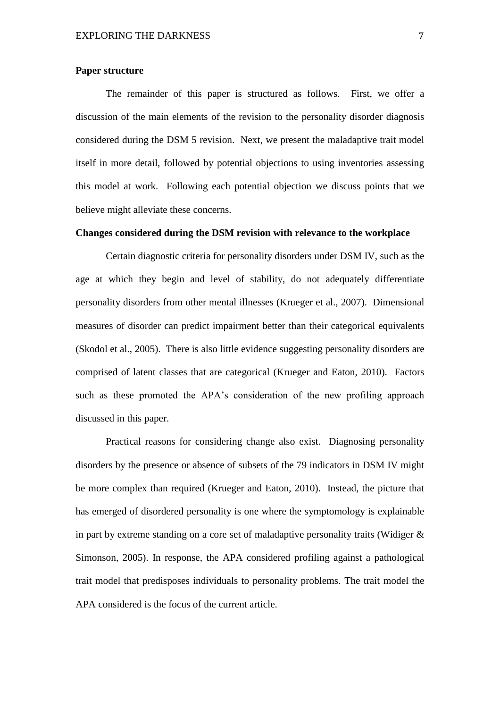### **Paper structure**

The remainder of this paper is structured as follows. First, we offer a discussion of the main elements of the revision to the personality disorder diagnosis considered during the DSM 5 revision. Next, we present the maladaptive trait model itself in more detail, followed by potential objections to using inventories assessing this model at work. Following each potential objection we discuss points that we believe might alleviate these concerns.

## **Changes considered during the DSM revision with relevance to the workplace**

Certain diagnostic criteria for personality disorders under DSM IV, such as the age at which they begin and level of stability, do not adequately differentiate personality disorders from other mental illnesses (Krueger et al., 2007). Dimensional measures of disorder can predict impairment better than their categorical equivalents (Skodol et al., 2005). There is also little evidence suggesting personality disorders are comprised of latent classes that are categorical (Krueger and Eaton, 2010). Factors such as these promoted the APA's consideration of the new profiling approach discussed in this paper.

Practical reasons for considering change also exist. Diagnosing personality disorders by the presence or absence of subsets of the 79 indicators in DSM IV might be more complex than required (Krueger and Eaton, 2010). Instead, the picture that has emerged of disordered personality is one where the symptomology is explainable in part by extreme standing on a core set of maladaptive personality traits (Widiger  $\&$ Simonson, 2005). In response, the APA considered profiling against a pathological trait model that predisposes individuals to personality problems. The trait model the APA considered is the focus of the current article.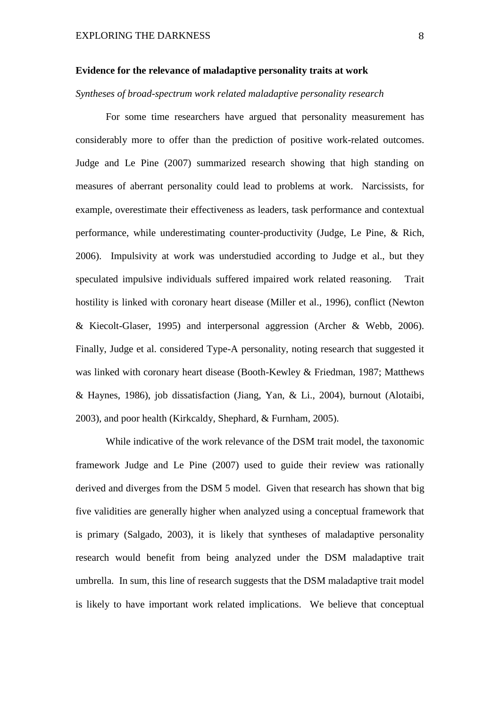### **Evidence for the relevance of maladaptive personality traits at work**

*Syntheses of broad-spectrum work related maladaptive personality research*

For some time researchers have argued that personality measurement has considerably more to offer than the prediction of positive work-related outcomes. Judge and Le Pine (2007) summarized research showing that high standing on measures of aberrant personality could lead to problems at work. Narcissists, for example, overestimate their effectiveness as leaders, task performance and contextual performance, while underestimating counter-productivity (Judge, Le Pine, & Rich, 2006). Impulsivity at work was understudied according to Judge et al., but they speculated impulsive individuals suffered impaired work related reasoning. Trait hostility is linked with coronary heart disease (Miller et al., 1996), conflict (Newton & Kiecolt-Glaser, 1995) and interpersonal aggression (Archer & Webb, 2006). Finally, Judge et al. considered Type-A personality, noting research that suggested it was linked with coronary heart disease (Booth-Kewley & Friedman, 1987; Matthews & Haynes, 1986), job dissatisfaction (Jiang, Yan, & Li., 2004), burnout (Alotaibi, 2003), and poor health (Kirkcaldy, Shephard, & Furnham, 2005).

While indicative of the work relevance of the DSM trait model, the taxonomic framework Judge and Le Pine (2007) used to guide their review was rationally derived and diverges from the DSM 5 model. Given that research has shown that big five validities are generally higher when analyzed using a conceptual framework that is primary (Salgado, 2003), it is likely that syntheses of maladaptive personality research would benefit from being analyzed under the DSM maladaptive trait umbrella. In sum, this line of research suggests that the DSM maladaptive trait model is likely to have important work related implications. We believe that conceptual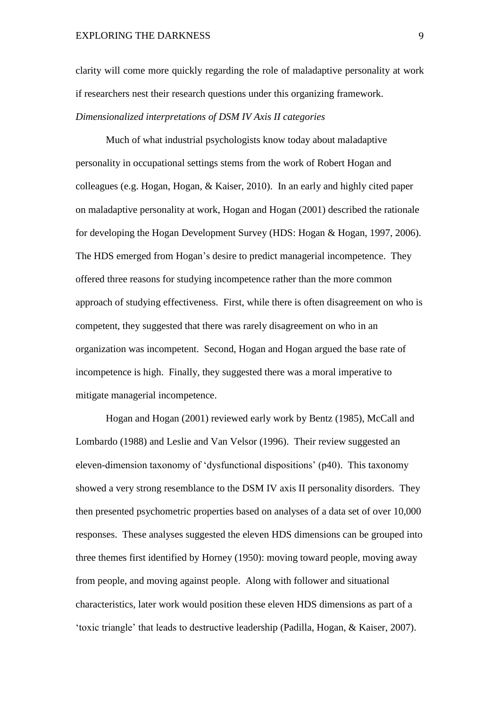EXPLORING THE DARKNESS 9

clarity will come more quickly regarding the role of maladaptive personality at work if researchers nest their research questions under this organizing framework. *Dimensionalized interpretations of DSM IV Axis II categories*

Much of what industrial psychologists know today about maladaptive personality in occupational settings stems from the work of Robert Hogan and colleagues (e.g. Hogan, Hogan, & Kaiser, 2010). In an early and highly cited paper on maladaptive personality at work, Hogan and Hogan (2001) described the rationale for developing the Hogan Development Survey (HDS: Hogan & Hogan, 1997, 2006). The HDS emerged from Hogan's desire to predict managerial incompetence. They offered three reasons for studying incompetence rather than the more common approach of studying effectiveness. First, while there is often disagreement on who is competent, they suggested that there was rarely disagreement on who in an organization was incompetent. Second, Hogan and Hogan argued the base rate of incompetence is high. Finally, they suggested there was a moral imperative to mitigate managerial incompetence.

Hogan and Hogan (2001) reviewed early work by Bentz (1985), McCall and Lombardo (1988) and Leslie and Van Velsor (1996). Their review suggested an eleven-dimension taxonomy of 'dysfunctional dispositions' (p40). This taxonomy showed a very strong resemblance to the DSM IV axis II personality disorders. They then presented psychometric properties based on analyses of a data set of over 10,000 responses. These analyses suggested the eleven HDS dimensions can be grouped into three themes first identified by Horney (1950): moving toward people, moving away from people, and moving against people. Along with follower and situational characteristics, later work would position these eleven HDS dimensions as part of a 'toxic triangle' that leads to destructive leadership (Padilla, Hogan, & Kaiser, 2007).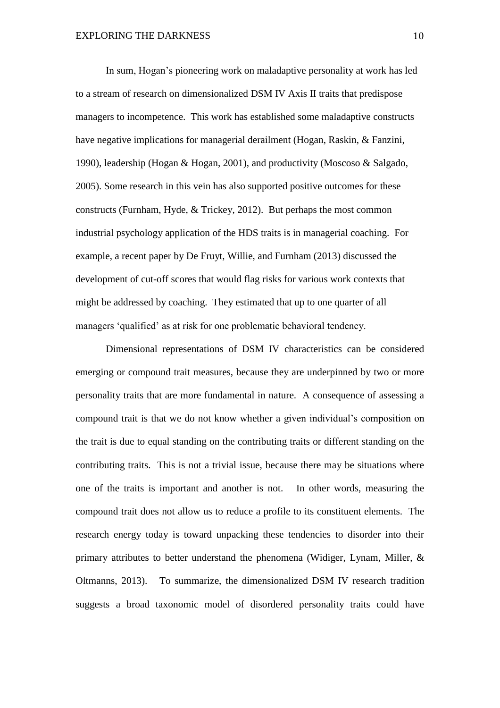In sum, Hogan's pioneering work on maladaptive personality at work has led to a stream of research on dimensionalized DSM IV Axis II traits that predispose managers to incompetence. This work has established some maladaptive constructs have negative implications for managerial derailment (Hogan, Raskin, & Fanzini, 1990), leadership (Hogan & Hogan, 2001), and productivity (Moscoso & Salgado, 2005). Some research in this vein has also supported positive outcomes for these constructs (Furnham, Hyde, & Trickey, 2012). But perhaps the most common industrial psychology application of the HDS traits is in managerial coaching. For example, a recent paper by De Fruyt, Willie, and Furnham (2013) discussed the development of cut-off scores that would flag risks for various work contexts that might be addressed by coaching. They estimated that up to one quarter of all managers 'qualified' as at risk for one problematic behavioral tendency.

Dimensional representations of DSM IV characteristics can be considered emerging or compound trait measures, because they are underpinned by two or more personality traits that are more fundamental in nature. A consequence of assessing a compound trait is that we do not know whether a given individual's composition on the trait is due to equal standing on the contributing traits or different standing on the contributing traits. This is not a trivial issue, because there may be situations where one of the traits is important and another is not. In other words, measuring the compound trait does not allow us to reduce a profile to its constituent elements. The research energy today is toward unpacking these tendencies to disorder into their primary attributes to better understand the phenomena (Widiger, Lynam, Miller, & Oltmanns, 2013). To summarize, the dimensionalized DSM IV research tradition suggests a broad taxonomic model of disordered personality traits could have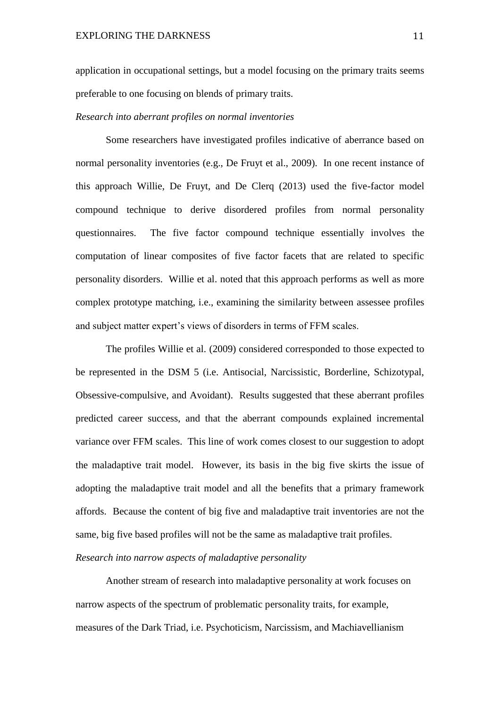application in occupational settings, but a model focusing on the primary traits seems preferable to one focusing on blends of primary traits.

*Research into aberrant profiles on normal inventories*

Some researchers have investigated profiles indicative of aberrance based on normal personality inventories (e.g., De Fruyt et al., 2009). In one recent instance of this approach Willie, De Fruyt, and De Clerq (2013) used the five-factor model compound technique to derive disordered profiles from normal personality questionnaires. The five factor compound technique essentially involves the computation of linear composites of five factor facets that are related to specific personality disorders. Willie et al. noted that this approach performs as well as more complex prototype matching, i.e., examining the similarity between assessee profiles and subject matter expert's views of disorders in terms of FFM scales.

The profiles Willie et al. (2009) considered corresponded to those expected to be represented in the DSM 5 (i.e. Antisocial, Narcissistic, Borderline, Schizotypal, Obsessive-compulsive, and Avoidant). Results suggested that these aberrant profiles predicted career success, and that the aberrant compounds explained incremental variance over FFM scales. This line of work comes closest to our suggestion to adopt the maladaptive trait model. However, its basis in the big five skirts the issue of adopting the maladaptive trait model and all the benefits that a primary framework affords. Because the content of big five and maladaptive trait inventories are not the same, big five based profiles will not be the same as maladaptive trait profiles.

# *Research into narrow aspects of maladaptive personality*

Another stream of research into maladaptive personality at work focuses on narrow aspects of the spectrum of problematic personality traits, for example, measures of the Dark Triad, i.e. Psychoticism, Narcissism, and Machiavellianism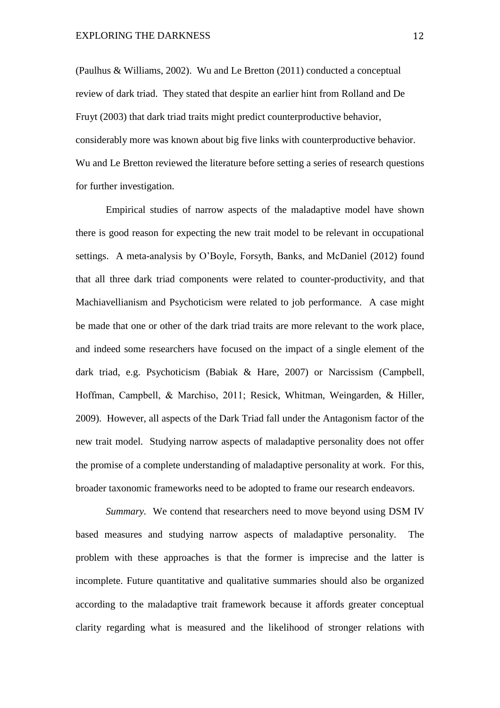(Paulhus & Williams, 2002). Wu and Le Bretton (2011) conducted a conceptual review of dark triad. They stated that despite an earlier hint from Rolland and De Fruyt (2003) that dark triad traits might predict counterproductive behavior, considerably more was known about big five links with counterproductive behavior. Wu and Le Bretton reviewed the literature before setting a series of research questions for further investigation.

Empirical studies of narrow aspects of the maladaptive model have shown there is good reason for expecting the new trait model to be relevant in occupational settings. A meta-analysis by O'Boyle, Forsyth, Banks, and McDaniel (2012) found that all three dark triad components were related to counter-productivity, and that Machiavellianism and Psychoticism were related to job performance. A case might be made that one or other of the dark triad traits are more relevant to the work place, and indeed some researchers have focused on the impact of a single element of the dark triad, e.g. Psychoticism (Babiak & Hare, 2007) or Narcissism (Campbell, Hoffman, Campbell, & Marchiso, 2011; Resick, Whitman, Weingarden, & Hiller, 2009). However, all aspects of the Dark Triad fall under the Antagonism factor of the new trait model. Studying narrow aspects of maladaptive personality does not offer the promise of a complete understanding of maladaptive personality at work. For this, broader taxonomic frameworks need to be adopted to frame our research endeavors.

*Summary.* We contend that researchers need to move beyond using DSM IV based measures and studying narrow aspects of maladaptive personality. The problem with these approaches is that the former is imprecise and the latter is incomplete. Future quantitative and qualitative summaries should also be organized according to the maladaptive trait framework because it affords greater conceptual clarity regarding what is measured and the likelihood of stronger relations with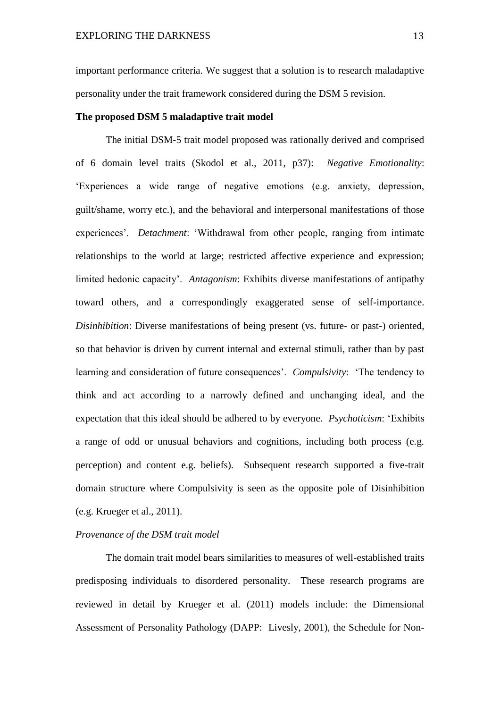important performance criteria. We suggest that a solution is to research maladaptive personality under the trait framework considered during the DSM 5 revision.

# **The proposed DSM 5 maladaptive trait model**

The initial DSM-5 trait model proposed was rationally derived and comprised of 6 domain level traits (Skodol et al., 2011, p37): *Negative Emotionality*: 'Experiences a wide range of negative emotions (e.g. anxiety, depression, guilt/shame, worry etc.), and the behavioral and interpersonal manifestations of those experiences'. *Detachment*: 'Withdrawal from other people, ranging from intimate relationships to the world at large; restricted affective experience and expression; limited hedonic capacity'. *Antagonism*: Exhibits diverse manifestations of antipathy toward others, and a correspondingly exaggerated sense of self-importance. *Disinhibition*: Diverse manifestations of being present (vs. future- or past-) oriented, so that behavior is driven by current internal and external stimuli, rather than by past learning and consideration of future consequences'. *Compulsivity*: 'The tendency to think and act according to a narrowly defined and unchanging ideal, and the expectation that this ideal should be adhered to by everyone. *Psychoticism*: 'Exhibits a range of odd or unusual behaviors and cognitions, including both process (e.g. perception) and content e.g. beliefs). Subsequent research supported a five-trait domain structure where Compulsivity is seen as the opposite pole of Disinhibition (e.g. Krueger et al., 2011).

### *Provenance of the DSM trait model*

The domain trait model bears similarities to measures of well-established traits predisposing individuals to disordered personality. These research programs are reviewed in detail by Krueger et al. (2011) models include: the Dimensional Assessment of Personality Pathology (DAPP: Livesly, 2001), the Schedule for Non-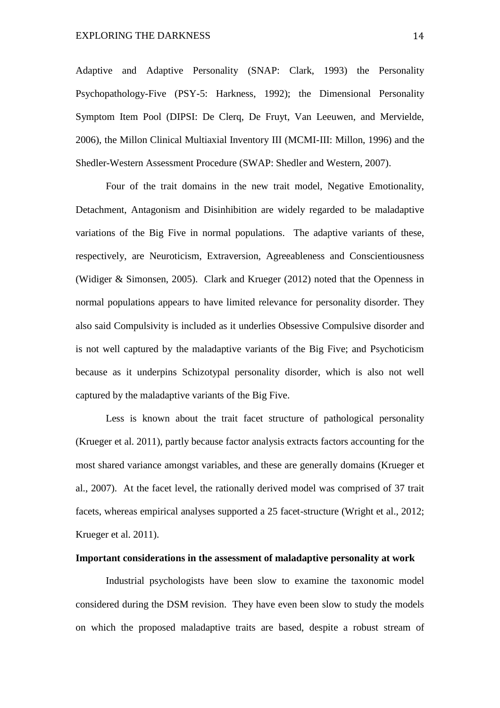### EXPLORING THE DARKNESS 14

Adaptive and Adaptive Personality (SNAP: Clark, 1993) the Personality Psychopathology-Five (PSY-5: Harkness, 1992); the Dimensional Personality Symptom Item Pool (DIPSI: De Clerq, De Fruyt, Van Leeuwen, and Mervielde, 2006), the Millon Clinical Multiaxial Inventory III (MCMI-III: Millon, 1996) and the Shedler-Western Assessment Procedure (SWAP: Shedler and Western, 2007).

Four of the trait domains in the new trait model, Negative Emotionality, Detachment, Antagonism and Disinhibition are widely regarded to be maladaptive variations of the Big Five in normal populations. The adaptive variants of these, respectively, are Neuroticism, Extraversion, Agreeableness and Conscientiousness (Widiger & Simonsen, 2005). Clark and Krueger (2012) noted that the Openness in normal populations appears to have limited relevance for personality disorder. They also said Compulsivity is included as it underlies Obsessive Compulsive disorder and is not well captured by the maladaptive variants of the Big Five; and Psychoticism because as it underpins Schizotypal personality disorder, which is also not well captured by the maladaptive variants of the Big Five.

Less is known about the trait facet structure of pathological personality (Krueger et al. 2011), partly because factor analysis extracts factors accounting for the most shared variance amongst variables, and these are generally domains (Krueger et al., 2007). At the facet level, the rationally derived model was comprised of 37 trait facets, whereas empirical analyses supported a 25 facet-structure (Wright et al., 2012; Krueger et al. 2011).

# **Important considerations in the assessment of maladaptive personality at work**

Industrial psychologists have been slow to examine the taxonomic model considered during the DSM revision. They have even been slow to study the models on which the proposed maladaptive traits are based, despite a robust stream of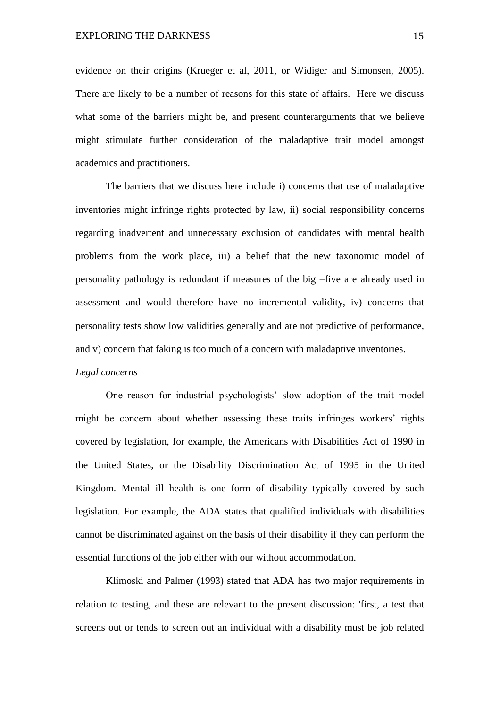evidence on their origins (Krueger et al, 2011, or Widiger and Simonsen, 2005). There are likely to be a number of reasons for this state of affairs. Here we discuss what some of the barriers might be, and present counterarguments that we believe might stimulate further consideration of the maladaptive trait model amongst academics and practitioners.

The barriers that we discuss here include i) concerns that use of maladaptive inventories might infringe rights protected by law, ii) social responsibility concerns regarding inadvertent and unnecessary exclusion of candidates with mental health problems from the work place, iii) a belief that the new taxonomic model of personality pathology is redundant if measures of the big –five are already used in assessment and would therefore have no incremental validity, iv) concerns that personality tests show low validities generally and are not predictive of performance, and v) concern that faking is too much of a concern with maladaptive inventories.

### *Legal concerns*

One reason for industrial psychologists' slow adoption of the trait model might be concern about whether assessing these traits infringes workers' rights covered by legislation, for example, the Americans with Disabilities Act of 1990 in the United States, or the Disability Discrimination Act of 1995 in the United Kingdom. Mental ill health is one form of disability typically covered by such legislation. For example, the ADA states that qualified individuals with disabilities cannot be discriminated against on the basis of their disability if they can perform the essential functions of the job either with our without accommodation.

Klimoski and Palmer (1993) stated that ADA has two major requirements in relation to testing, and these are relevant to the present discussion: 'first, a test that screens out or tends to screen out an individual with a disability must be job related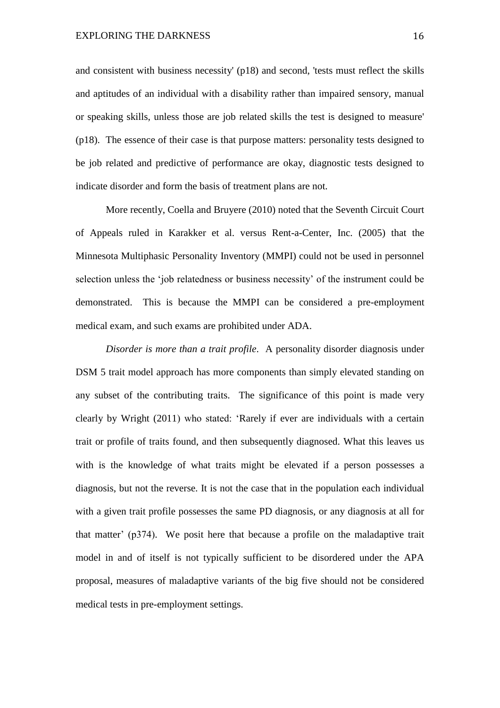and consistent with business necessity' (p18) and second, 'tests must reflect the skills and aptitudes of an individual with a disability rather than impaired sensory, manual or speaking skills, unless those are job related skills the test is designed to measure' (p18). The essence of their case is that purpose matters: personality tests designed to be job related and predictive of performance are okay, diagnostic tests designed to indicate disorder and form the basis of treatment plans are not.

More recently, Coella and Bruyere (2010) noted that the Seventh Circuit Court of Appeals ruled in Karakker et al. versus Rent-a-Center, Inc. (2005) that the Minnesota Multiphasic Personality Inventory (MMPI) could not be used in personnel selection unless the 'job relatedness or business necessity' of the instrument could be demonstrated. This is because the MMPI can be considered a pre-employment medical exam, and such exams are prohibited under ADA.

*Disorder is more than a trait profile*. A personality disorder diagnosis under DSM 5 trait model approach has more components than simply elevated standing on any subset of the contributing traits. The significance of this point is made very clearly by Wright (2011) who stated: 'Rarely if ever are individuals with a certain trait or profile of traits found, and then subsequently diagnosed. What this leaves us with is the knowledge of what traits might be elevated if a person possesses a diagnosis, but not the reverse. It is not the case that in the population each individual with a given trait profile possesses the same PD diagnosis, or any diagnosis at all for that matter' (p374). We posit here that because a profile on the maladaptive trait model in and of itself is not typically sufficient to be disordered under the APA proposal, measures of maladaptive variants of the big five should not be considered medical tests in pre-employment settings.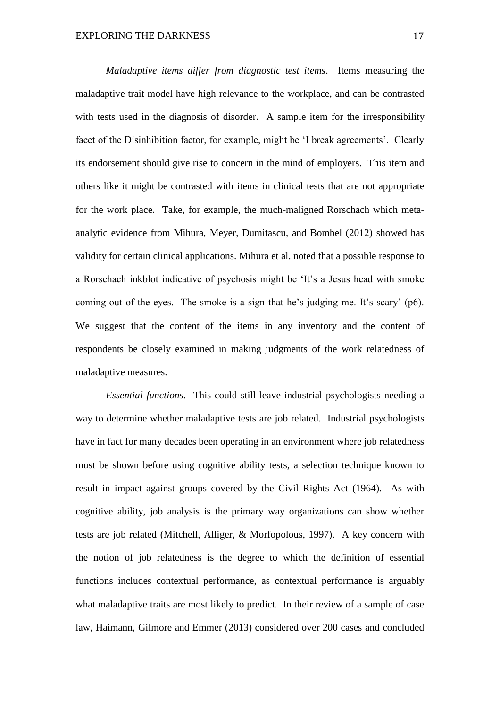*Maladaptive items differ from diagnostic test items*. Items measuring the maladaptive trait model have high relevance to the workplace, and can be contrasted with tests used in the diagnosis of disorder. A sample item for the irresponsibility facet of the Disinhibition factor, for example, might be 'I break agreements'. Clearly its endorsement should give rise to concern in the mind of employers. This item and others like it might be contrasted with items in clinical tests that are not appropriate for the work place. Take, for example, the much-maligned Rorschach which metaanalytic evidence from Mihura, Meyer, Dumitascu, and Bombel (2012) showed has validity for certain clinical applications. Mihura et al. noted that a possible response to a Rorschach inkblot indicative of psychosis might be 'It's a Jesus head with smoke coming out of the eyes. The smoke is a sign that he's judging me. It's scary' (p6). We suggest that the content of the items in any inventory and the content of respondents be closely examined in making judgments of the work relatedness of maladaptive measures.

*Essential functions.* This could still leave industrial psychologists needing a way to determine whether maladaptive tests are job related. Industrial psychologists have in fact for many decades been operating in an environment where job relatedness must be shown before using cognitive ability tests, a selection technique known to result in impact against groups covered by the Civil Rights Act (1964). As with cognitive ability, job analysis is the primary way organizations can show whether tests are job related (Mitchell, Alliger, & Morfopolous, 1997). A key concern with the notion of job relatedness is the degree to which the definition of essential functions includes contextual performance, as contextual performance is arguably what maladaptive traits are most likely to predict. In their review of a sample of case law, Haimann, Gilmore and Emmer (2013) considered over 200 cases and concluded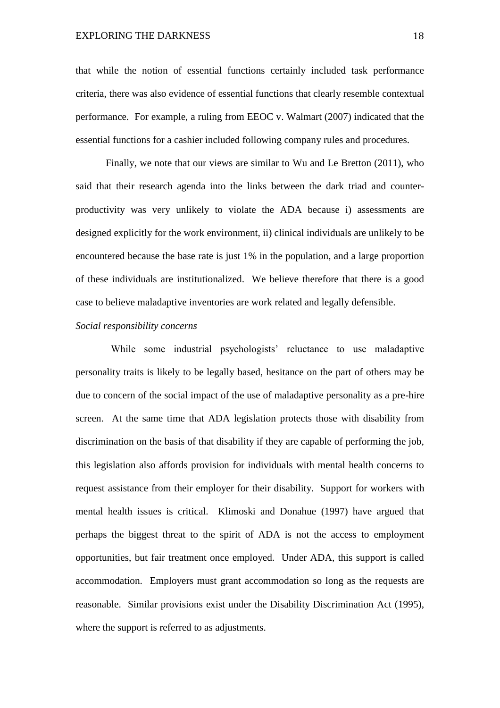that while the notion of essential functions certainly included task performance criteria, there was also evidence of essential functions that clearly resemble contextual performance. For example, a ruling from EEOC v. Walmart (2007) indicated that the essential functions for a cashier included following company rules and procedures.

Finally, we note that our views are similar to Wu and Le Bretton (2011), who said that their research agenda into the links between the dark triad and counterproductivity was very unlikely to violate the ADA because i) assessments are designed explicitly for the work environment, ii) clinical individuals are unlikely to be encountered because the base rate is just 1% in the population, and a large proportion of these individuals are institutionalized. We believe therefore that there is a good case to believe maladaptive inventories are work related and legally defensible.

### *Social responsibility concerns*

 While some industrial psychologists' reluctance to use maladaptive personality traits is likely to be legally based, hesitance on the part of others may be due to concern of the social impact of the use of maladaptive personality as a pre-hire screen. At the same time that ADA legislation protects those with disability from discrimination on the basis of that disability if they are capable of performing the job, this legislation also affords provision for individuals with mental health concerns to request assistance from their employer for their disability. Support for workers with mental health issues is critical. Klimoski and Donahue (1997) have argued that perhaps the biggest threat to the spirit of ADA is not the access to employment opportunities, but fair treatment once employed. Under ADA, this support is called accommodation. Employers must grant accommodation so long as the requests are reasonable. Similar provisions exist under the Disability Discrimination Act (1995), where the support is referred to as adjustments.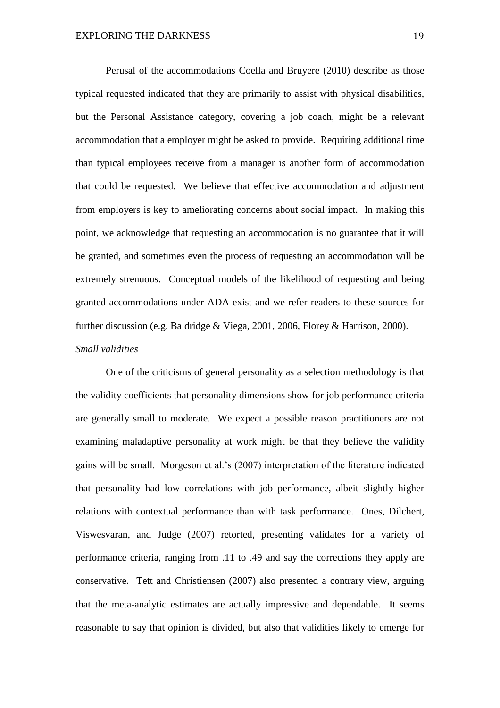Perusal of the accommodations Coella and Bruyere (2010) describe as those typical requested indicated that they are primarily to assist with physical disabilities, but the Personal Assistance category, covering a job coach, might be a relevant accommodation that a employer might be asked to provide. Requiring additional time than typical employees receive from a manager is another form of accommodation that could be requested. We believe that effective accommodation and adjustment from employers is key to ameliorating concerns about social impact. In making this point, we acknowledge that requesting an accommodation is no guarantee that it will be granted, and sometimes even the process of requesting an accommodation will be extremely strenuous. Conceptual models of the likelihood of requesting and being granted accommodations under ADA exist and we refer readers to these sources for further discussion (e.g. Baldridge & Viega, 2001, 2006, Florey & Harrison, 2000).

# *Small validities*

One of the criticisms of general personality as a selection methodology is that the validity coefficients that personality dimensions show for job performance criteria are generally small to moderate. We expect a possible reason practitioners are not examining maladaptive personality at work might be that they believe the validity gains will be small. Morgeson et al.'s (2007) interpretation of the literature indicated that personality had low correlations with job performance, albeit slightly higher relations with contextual performance than with task performance. Ones, Dilchert, Viswesvaran, and Judge (2007) retorted, presenting validates for a variety of performance criteria, ranging from .11 to .49 and say the corrections they apply are conservative. Tett and Christiensen (2007) also presented a contrary view, arguing that the meta-analytic estimates are actually impressive and dependable. It seems reasonable to say that opinion is divided, but also that validities likely to emerge for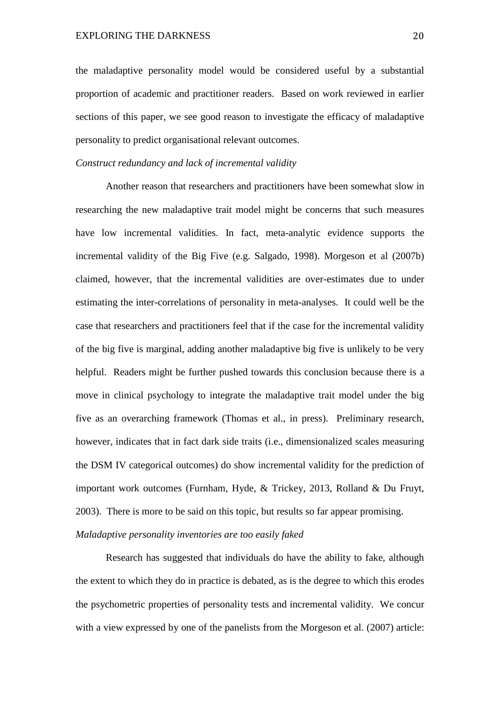EXPLORING THE DARKNESS 20

the maladaptive personality model would be considered useful by a substantial proportion of academic and practitioner readers. Based on work reviewed in earlier sections of this paper, we see good reason to investigate the efficacy of maladaptive personality to predict organisational relevant outcomes.

*Construct redundancy and lack of incremental validity*

Another reason that researchers and practitioners have been somewhat slow in researching the new maladaptive trait model might be concerns that such measures have low incremental validities. In fact, meta-analytic evidence supports the incremental validity of the Big Five (e.g. Salgado, 1998). Morgeson et al (2007b) claimed, however, that the incremental validities are over-estimates due to under estimating the inter-correlations of personality in meta-analyses. It could well be the case that researchers and practitioners feel that if the case for the incremental validity of the big five is marginal, adding another maladaptive big five is unlikely to be very helpful. Readers might be further pushed towards this conclusion because there is a move in clinical psychology to integrate the maladaptive trait model under the big five as an overarching framework (Thomas et al., in press). Preliminary research, however, indicates that in fact dark side traits (i.e., dimensionalized scales measuring the DSM IV categorical outcomes) do show incremental validity for the prediction of important work outcomes (Furnham, Hyde, & Trickey, 2013, Rolland & Du Fruyt, 2003). There is more to be said on this topic, but results so far appear promising.

*Maladaptive personality inventories are too easily faked*

Research has suggested that individuals do have the ability to fake, although the extent to which they do in practice is debated, as is the degree to which this erodes the psychometric properties of personality tests and incremental validity. We concur with a view expressed by one of the panelists from the Morgeson et al. (2007) article: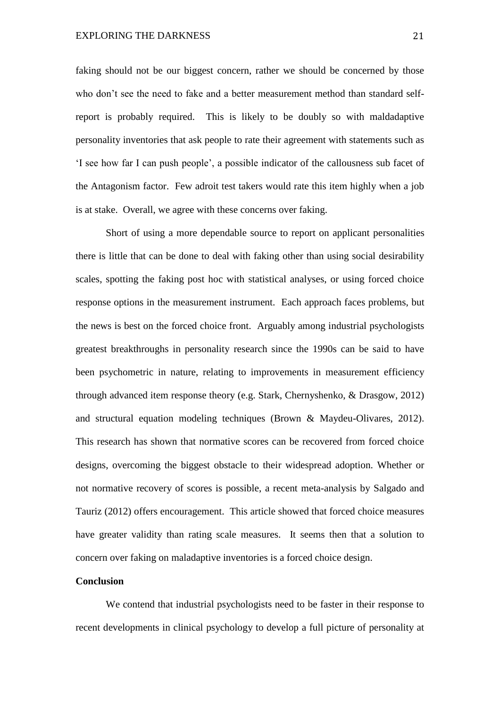#### EXPLORING THE DARKNESS 21

faking should not be our biggest concern, rather we should be concerned by those who don't see the need to fake and a better measurement method than standard selfreport is probably required. This is likely to be doubly so with maldadaptive personality inventories that ask people to rate their agreement with statements such as 'I see how far I can push people', a possible indicator of the callousness sub facet of the Antagonism factor. Few adroit test takers would rate this item highly when a job is at stake. Overall, we agree with these concerns over faking.

Short of using a more dependable source to report on applicant personalities there is little that can be done to deal with faking other than using social desirability scales, spotting the faking post hoc with statistical analyses, or using forced choice response options in the measurement instrument. Each approach faces problems, but the news is best on the forced choice front. Arguably among industrial psychologists greatest breakthroughs in personality research since the 1990s can be said to have been psychometric in nature, relating to improvements in measurement efficiency through advanced item response theory (e.g. Stark, Chernyshenko, & Drasgow, 2012) and structural equation modeling techniques (Brown & Maydeu-Olivares, 2012). This research has shown that normative scores can be recovered from forced choice designs, overcoming the biggest obstacle to their widespread adoption. Whether or not normative recovery of scores is possible, a recent meta-analysis by Salgado and Tauriz (2012) offers encouragement. This article showed that forced choice measures have greater validity than rating scale measures. It seems then that a solution to concern over faking on maladaptive inventories is a forced choice design.

### **Conclusion**

We contend that industrial psychologists need to be faster in their response to recent developments in clinical psychology to develop a full picture of personality at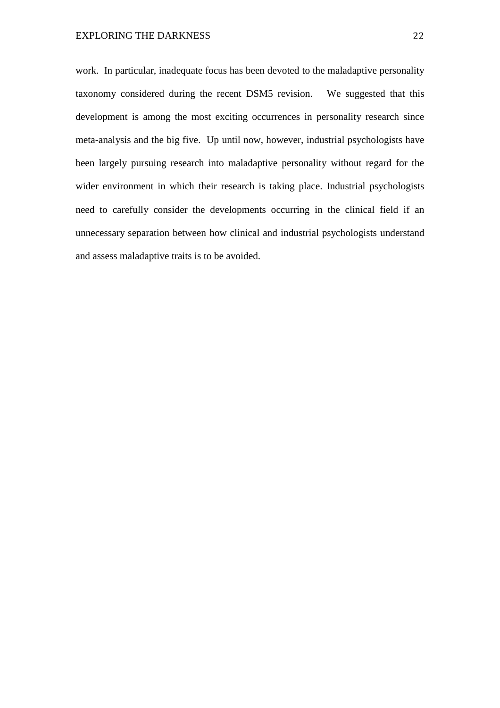work. In particular, inadequate focus has been devoted to the maladaptive personality taxonomy considered during the recent DSM5 revision. We suggested that this development is among the most exciting occurrences in personality research since meta-analysis and the big five. Up until now, however, industrial psychologists have been largely pursuing research into maladaptive personality without regard for the wider environment in which their research is taking place. Industrial psychologists need to carefully consider the developments occurring in the clinical field if an unnecessary separation between how clinical and industrial psychologists understand and assess maladaptive traits is to be avoided.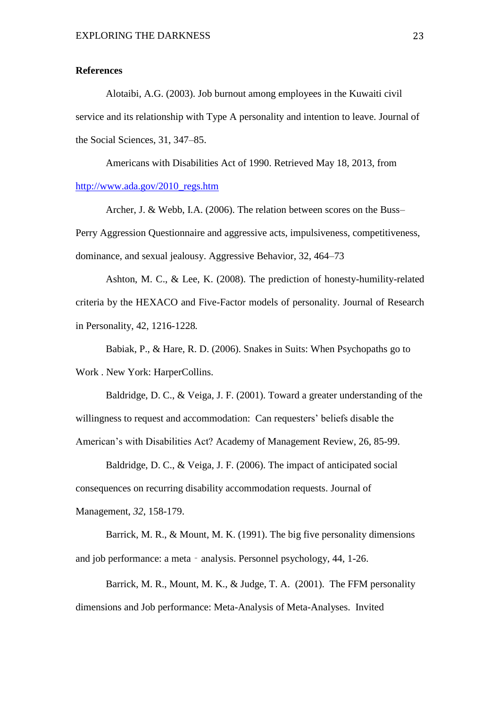### **References**

Alotaibi, A.G. (2003). Job burnout among employees in the Kuwaiti civil service and its relationship with Type A personality and intention to leave. Journal of the Social Sciences, 31, 347–85.

Americans with Disabilities Act of 1990. Retrieved May 18, 2013, from [http://www.ada.gov/2010\\_regs.htm](http://www.ada.gov/2010_regs.htm)

Archer, J. & Webb, I.A. (2006). The relation between scores on the Buss– Perry Aggression Questionnaire and aggressive acts, impulsiveness, competitiveness, dominance, and sexual jealousy. Aggressive Behavior, 32, 464–73

Ashton, M. C., & Lee, K. (2008). The prediction of honesty-humility-related criteria by the HEXACO and Five-Factor models of personality. Journal of Research in Personality, 42, 1216-1228*.*

Babiak, P., & Hare, R. D. (2006). Snakes in Suits: When Psychopaths go to Work . New York: HarperCollins.

Baldridge, D. C., & Veiga, J. F. (2001). Toward a greater understanding of the willingness to request and accommodation: Can requesters' beliefs disable the American's with Disabilities Act? Academy of Management Review, 26, 85-99.

Baldridge, D. C., & Veiga, J. F. (2006). The impact of anticipated social consequences on recurring disability accommodation requests. Journal of Management, *32*, 158-179.

Barrick, M. R., & Mount, M. K. (1991). The big five personality dimensions and job performance: a meta - analysis. Personnel psychology, 44, 1-26.

Barrick, M. R., Mount, M. K., & Judge, T. A. (2001). The FFM personality dimensions and Job performance: Meta-Analysis of Meta-Analyses. Invited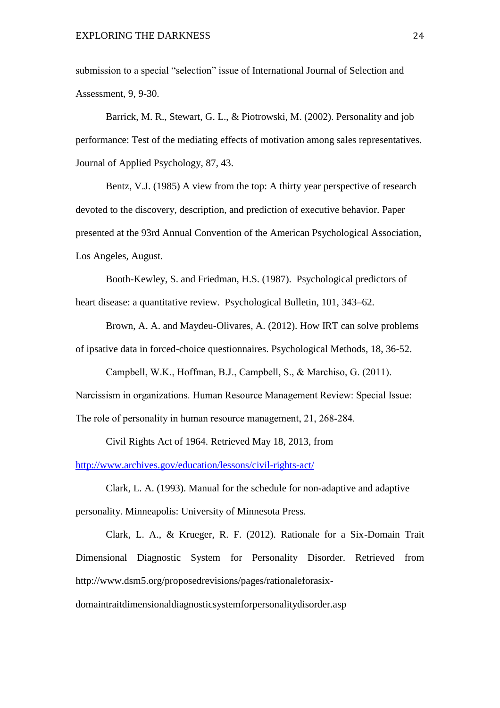submission to a special "selection" issue of International Journal of Selection and Assessment, 9, 9-30.

Barrick, M. R., Stewart, G. L., & Piotrowski, M. (2002). Personality and job performance: Test of the mediating effects of motivation among sales representatives. Journal of Applied Psychology, 87, 43.

Bentz, V.J. (1985) A view from the top: A thirty year perspective of research devoted to the discovery, description, and prediction of executive behavior. Paper presented at the 93rd Annual Convention of the American Psychological Association, Los Angeles, August.

Booth-Kewley, S. and Friedman, H.S. (1987). Psychological predictors of heart disease: a quantitative review. Psychological Bulletin, 101, 343–62.

Brown, A. A. and Maydeu-Olivares, A. (2012). How IRT can solve problems of ipsative data in forced-choice questionnaires. Psychological Methods, 18, 36-52.

Campbell, W.K., Hoffman, B.J., Campbell, S., & Marchiso, G. (2011).

Narcissism in organizations. Human Resource Management Review: Special Issue: The role of personality in human resource management, 21, 268-284.

Civil Rights Act of 1964. Retrieved May 18, 2013, from

<http://www.archives.gov/education/lessons/civil-rights-act/>

Clark, L. A. (1993). Manual for the schedule for non-adaptive and adaptive personality. Minneapolis: University of Minnesota Press.

Clark, L. A., & Krueger, R. F. (2012). Rationale for a Six-Domain Trait Dimensional Diagnostic System for Personality Disorder. Retrieved from http://www.dsm5.org/proposedrevisions/pages/rationaleforasix-

domaintraitdimensionaldiagnosticsystemforpersonalitydisorder.asp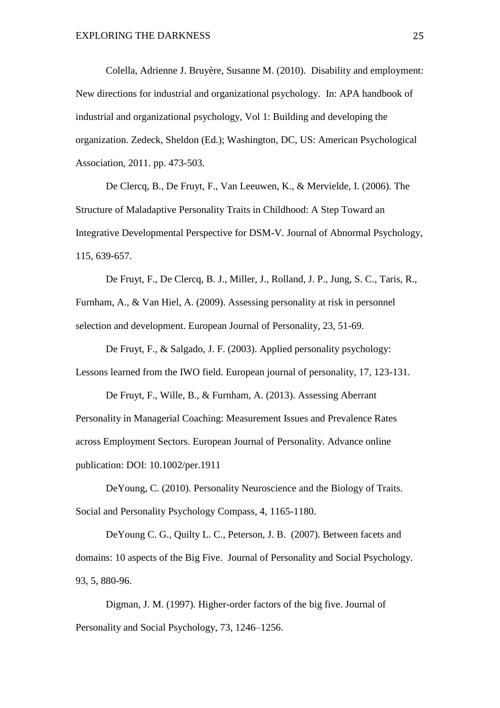Colella, Adrienne J. Bruyère, Susanne M. (2010). Disability and employment: New directions for industrial and organizational psychology. In: APA handbook of industrial and organizational psychology, Vol 1: Building and developing the organization. Zedeck, Sheldon (Ed.); Washington, DC, US: American Psychological Association, 2011. pp. 473-503.

De Clercq, B., De Fruyt, F., Van Leeuwen, K., & Mervielde, I. (2006). The Structure of Maladaptive Personality Traits in Childhood: A Step Toward an Integrative Developmental Perspective for DSM-V. Journal of Abnormal Psychology, 115, 639-657.

De Fruyt, F., De Clercq, B. J., Miller, J., Rolland, J. P., Jung, S. C., Taris, R., Furnham, A., & Van Hiel, A. (2009). Assessing personality at risk in personnel selection and development. European Journal of Personality, 23, 51-69.

De Fruyt, F., & Salgado, J. F. (2003). Applied personality psychology: Lessons learned from the IWO field. European journal of personality, 17, 123-131.

De Fruyt, F., Wille, B., & Furnham, A. (2013). Assessing Aberrant Personality in Managerial Coaching: Measurement Issues and Prevalence Rates across Employment Sectors. European Journal of Personality. Advance online publication: DOI: 10.1002/per.1911

DeYoung, C. (2010). Personality Neuroscience and the Biology of Traits. Social and Personality Psychology Compass, 4, 1165-1180.

DeYoung C. G., Quilty L. C., Peterson, J. B. (2007). Between facets and domains: 10 aspects of the Big Five. Journal of Personality and Social Psychology. 93, 5, 880-96.

Digman, J. M. (1997). Higher-order factors of the big five. Journal of Personality and Social Psychology, 73, 1246–1256.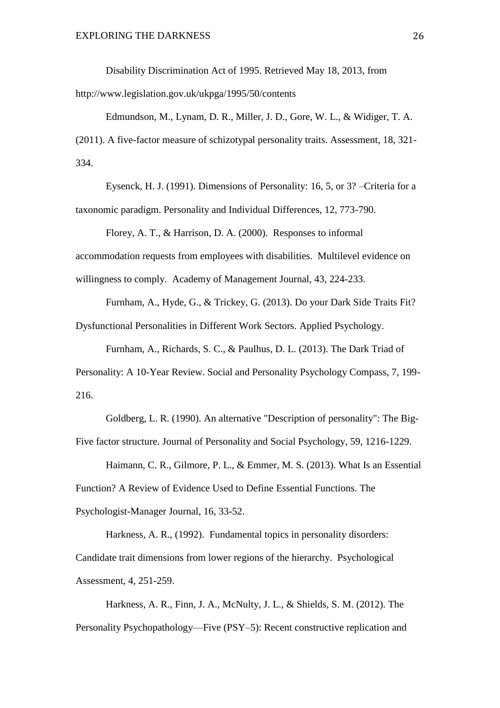Disability Discrimination Act of 1995. Retrieved May 18, 2013, from

http://www.legislation.gov.uk/ukpga/1995/50/contents

Edmundson, M., Lynam, D. R., Miller, J. D., Gore, W. L., & Widiger, T. A. (2011). A five-factor measure of schizotypal personality traits. Assessment, 18, 321- 334.

Eysenck, H. J. (1991). Dimensions of Personality: 16, 5, or 3? –Criteria for a taxonomic paradigm. Personality and Individual Differences, 12, 773-790.

Florey, A. T., & Harrison, D. A. (2000). Responses to informal accommodation requests from employees with disabilities. Multilevel evidence on willingness to comply. Academy of Management Journal, 43, 224-233.

Furnham, A., Hyde, G., & Trickey, G. (2013). Do your Dark Side Traits Fit? Dysfunctional Personalities in Different Work Sectors. Applied Psychology.

Furnham, A., Richards, S. C., & Paulhus, D. L. (2013). The Dark Triad of Personality: A 10-Year Review. Social and Personality Psychology Compass, 7, 199- 216.

Goldberg, L. R. (1990). An alternative "Description of personality": The Big-Five factor structure. Journal of Personality and Social Psychology, 59, 1216-1229.

Haimann, C. R., Gilmore, P. L., & Emmer, M. S. (2013). What Is an Essential Function? A Review of Evidence Used to Define Essential Functions. The Psychologist-Manager Journal, 16, 33-52.

Harkness, A. R., (1992). Fundamental topics in personality disorders: Candidate trait dimensions from lower regions of the hierarchy. Psychological Assessment, 4, 251-259.

Harkness, A. R., Finn, J. A., McNulty, J. L., & Shields, S. M. (2012). The Personality Psychopathology—Five (PSY–5): Recent constructive replication and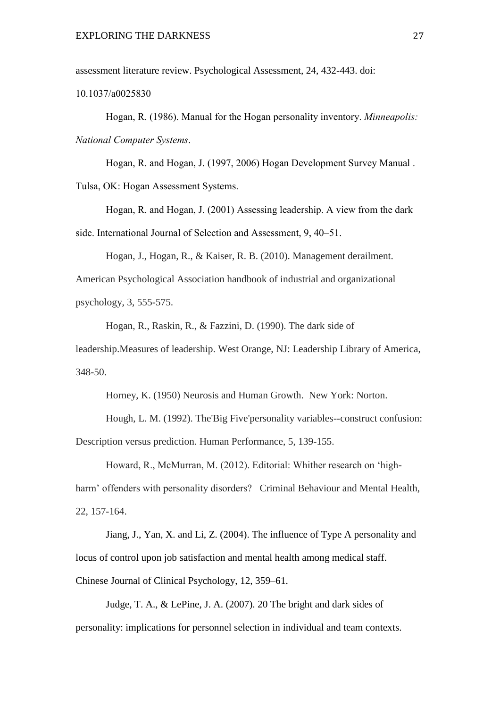assessment literature review. Psychological Assessment, 24, 432-443. doi:

10.1037/a0025830

Hogan, R. (1986). Manual for the Hogan personality inventory. *Minneapolis: National Computer Systems*.

Hogan, R. and Hogan, J. (1997, 2006) Hogan Development Survey Manual . Tulsa, OK: Hogan Assessment Systems.

Hogan, R. and Hogan, J. (2001) Assessing leadership. A view from the dark side. International Journal of Selection and Assessment, 9, 40–51.

Hogan, J., Hogan, R., & Kaiser, R. B. (2010). Management derailment.

American Psychological Association handbook of industrial and organizational psychology, 3, 555-575.

Hogan, R., Raskin, R., & Fazzini, D. (1990). The dark side of

leadership.Measures of leadership. West Orange, NJ: Leadership Library of America, 348-50.

Horney, K. (1950) Neurosis and Human Growth. New York: Norton.

Hough, L. M. (1992). The'Big Five'personality variables--construct confusion: Description versus prediction. Human Performance, 5, 139-155.

Howard, R., McMurran, M. (2012). Editorial: Whither research on 'highharm' offenders with personality disorders? Criminal Behaviour and Mental Health, 22, 157-164.

Jiang, J., Yan, X. and Li, Z. (2004). The influence of Type A personality and locus of control upon job satisfaction and mental health among medical staff. Chinese Journal of Clinical Psychology, 12, 359–61.

Judge, T. A., & LePine, J. A. (2007). 20 The bright and dark sides of personality: implications for personnel selection in individual and team contexts.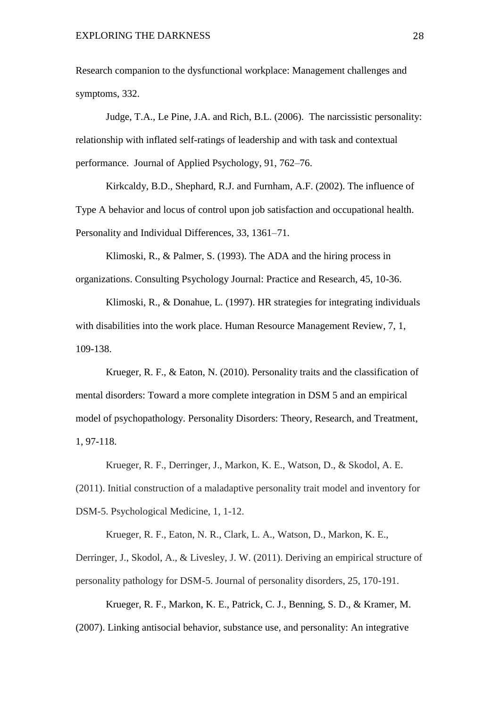Research companion to the dysfunctional workplace: Management challenges and symptoms, 332.

Judge, T.A., Le Pine, J.A. and Rich, B.L. (2006). The narcissistic personality: relationship with inflated self-ratings of leadership and with task and contextual performance. Journal of Applied Psychology, 91, 762–76.

Kirkcaldy, B.D., Shephard, R.J. and Furnham, A.F. (2002). The influence of Type A behavior and locus of control upon job satisfaction and occupational health. Personality and Individual Differences, 33, 1361–71.

Klimoski, R., & Palmer, S. (1993). The ADA and the hiring process in organizations. Consulting Psychology Journal: Practice and Research, 45, 10-36.

Klimoski, R., & Donahue, L. (1997). HR strategies for integrating individuals with disabilities into the work place. Human Resource Management Review, 7, 1, 109-138.

Krueger, R. F., & Eaton, N. (2010). Personality traits and the classification of mental disorders: Toward a more complete integration in DSM 5 and an empirical model of psychopathology. Personality Disorders: Theory, Research, and Treatment, 1, 97-118.

Krueger, R. F., Derringer, J., Markon, K. E., Watson, D., & Skodol, A. E. (2011). Initial construction of a maladaptive personality trait model and inventory for DSM-5. Psychological Medicine, 1, 1-12.

Krueger, R. F., Eaton, N. R., Clark, L. A., Watson, D., Markon, K. E.,

Derringer, J., Skodol, A., & Livesley, J. W. (2011). Deriving an empirical structure of personality pathology for DSM-5. Journal of personality disorders, 25, 170-191.

Krueger, R. F., Markon, K. E., Patrick, C. J., Benning, S. D., & Kramer, M. (2007). Linking antisocial behavior, substance use, and personality: An integrative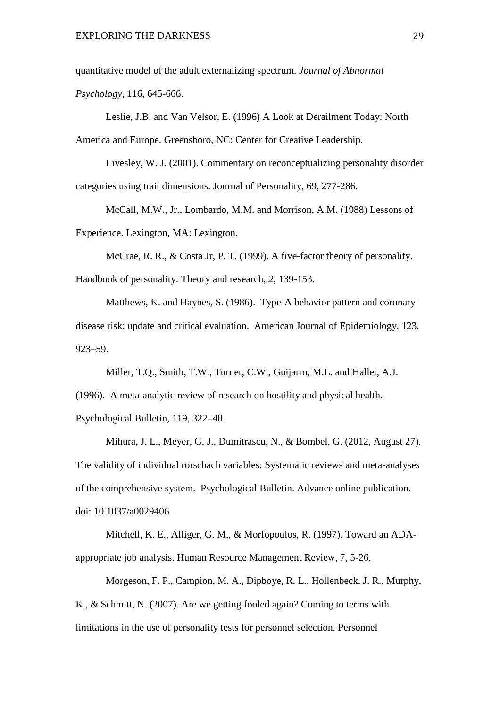quantitative model of the adult externalizing spectrum. *Journal of Abnormal Psychology*, 116, 645-666.

Leslie, J.B. and Van Velsor, E. (1996) A Look at Derailment Today: North America and Europe. Greensboro, NC: Center for Creative Leadership.

Livesley, W. J. (2001). Commentary on reconceptualizing personality disorder categories using trait dimensions. Journal of Personality, 69, 277-286.

McCall, M.W., Jr., Lombardo, M.M. and Morrison, A.M. (1988) Lessons of Experience. Lexington, MA: Lexington.

McCrae, R. R., & Costa Jr, P. T. (1999). A five-factor theory of personality. Handbook of personality: Theory and research, *2*, 139-153.

Matthews, K. and Haynes, S. (1986). Type-A behavior pattern and coronary disease risk: update and critical evaluation. American Journal of Epidemiology, 123, 923–59.

Miller, T.Q., Smith, T.W., Turner, C.W., Guijarro, M.L. and Hallet, A.J.

(1996). A meta-analytic review of research on hostility and physical health. Psychological Bulletin, 119, 322–48.

Mihura, J. L., Meyer, G. J., Dumitrascu, N., & Bombel, G. (2012, August 27). The validity of individual rorschach variables: Systematic reviews and meta-analyses of the comprehensive system. Psychological Bulletin. Advance online publication. doi: 10.1037/a0029406

Mitchell, K. E., Alliger, G. M., & Morfopoulos, R. (1997). Toward an ADAappropriate job analysis. Human Resource Management Review, 7, 5-26.

Morgeson, F. P., Campion, M. A., Dipboye, R. L., Hollenbeck, J. R., Murphy, K., & Schmitt, N. (2007). Are we getting fooled again? Coming to terms with limitations in the use of personality tests for personnel selection. Personnel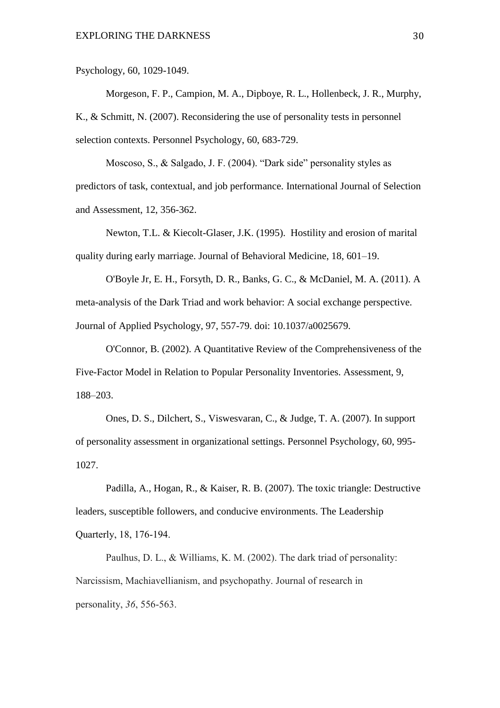Psychology, 60, 1029-1049.

Morgeson, F. P., Campion, M. A., Dipboye, R. L., Hollenbeck, J. R., Murphy, K., & Schmitt, N. (2007). Reconsidering the use of personality tests in personnel selection contexts. Personnel Psychology, 60, 683-729.

Moscoso, S., & Salgado, J. F. (2004). "Dark side" personality styles as predictors of task, contextual, and job performance. International Journal of Selection and Assessment, 12, 356-362.

Newton, T.L. & Kiecolt-Glaser, J.K. (1995). Hostility and erosion of marital quality during early marriage. Journal of Behavioral Medicine, 18, 601–19.

O'Boyle Jr, E. H., Forsyth, D. R., Banks, G. C., & McDaniel, M. A. (2011). A meta-analysis of the Dark Triad and work behavior: A social exchange perspective. Journal of Applied Psychology, 97, 557-79. doi: 10.1037/a0025679.

O'Connor, B. (2002). A Quantitative Review of the Comprehensiveness of the Five-Factor Model in Relation to Popular Personality Inventories. Assessment, 9, 188–203.

Ones, D. S., Dilchert, S., Viswesvaran, C., & Judge, T. A. (2007). In support of personality assessment in organizational settings. Personnel Psychology, 60, 995- 1027.

Padilla, A., Hogan, R., & Kaiser, R. B. (2007). The toxic triangle: Destructive leaders, susceptible followers, and conducive environments. The Leadership Quarterly, 18, 176-194.

Paulhus, D. L., & Williams, K. M. (2002). The dark triad of personality: Narcissism, Machiavellianism, and psychopathy. Journal of research in personality, *36*, 556-563.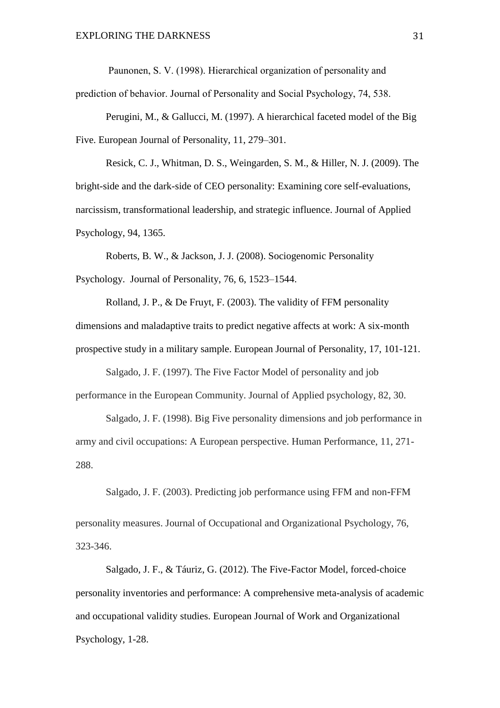Paunonen, S. V. (1998). Hierarchical organization of personality and

prediction of behavior. Journal of Personality and Social Psychology, 74, 538.

Perugini, M., & Gallucci, M. (1997). A hierarchical faceted model of the Big Five. European Journal of Personality, 11, 279–301.

Resick, C. J., Whitman, D. S., Weingarden, S. M., & Hiller, N. J. (2009). The bright-side and the dark-side of CEO personality: Examining core self-evaluations, narcissism, transformational leadership, and strategic influence. Journal of Applied Psychology, 94, 1365.

Roberts, B. W., & Jackson, J. J. (2008). Sociogenomic Personality Psychology. Journal of Personality, 76, 6, 1523–1544.

Rolland, J. P., & De Fruyt, F. (2003). The validity of FFM personality dimensions and maladaptive traits to predict negative affects at work: A six-month prospective study in a military sample. European Journal of Personality, 17, 101-121.

Salgado, J. F. (1997). The Five Factor Model of personality and job performance in the European Community. Journal of Applied psychology, 82, 30.

Salgado, J. F. (1998). Big Five personality dimensions and job performance in army and civil occupations: A European perspective. Human Performance, 11, 271- 288.

Salgado, J. F. (2003). Predicting job performance using FFM and non‐FFM personality measures. Journal of Occupational and Organizational Psychology, 76, 323-346.

Salgado, J. F., & Táuriz, G. (2012). The Five-Factor Model, forced-choice personality inventories and performance: A comprehensive meta-analysis of academic and occupational validity studies. European Journal of Work and Organizational Psychology, 1-28.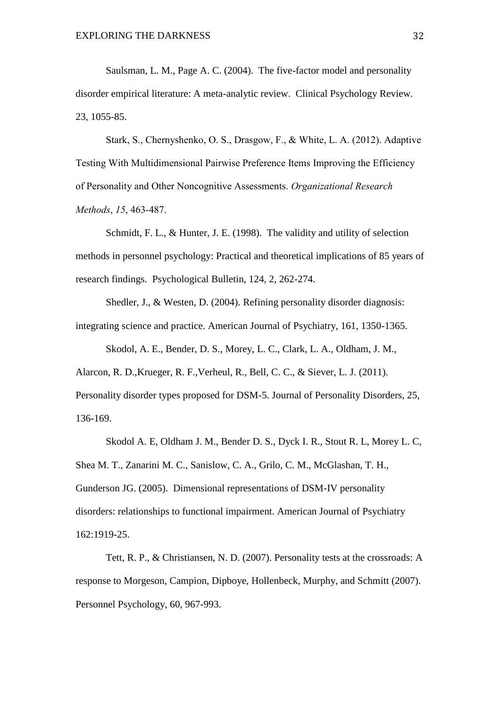Saulsman, L. M., Page A. C. (2004). The five-factor model and personality disorder empirical literature: A meta-analytic review. Clinical Psychology Review. 23, 1055-85.

Stark, S., Chernyshenko, O. S., Drasgow, F., & White, L. A. (2012). Adaptive Testing With Multidimensional Pairwise Preference Items Improving the Efficiency of Personality and Other Noncognitive Assessments. *Organizational Research Methods*, *15*, 463-487.

Schmidt, F. L., & Hunter, J. E. (1998). The validity and utility of selection methods in personnel psychology: Practical and theoretical implications of 85 years of research findings. Psychological Bulletin, 124, 2, 262-274.

Shedler, J., & Westen, D. (2004). Refining personality disorder diagnosis: integrating science and practice. American Journal of Psychiatry, 161, 1350-1365.

Skodol, A. E., Bender, D. S., Morey, L. C., Clark, L. A., Oldham, J. M., Alarcon, R. D.,Krueger, R. F.,Verheul, R., Bell, C. C., & Siever, L. J. (2011). Personality disorder types proposed for DSM-5. Journal of Personality Disorders, 25, 136-169.

Skodol A. E, Oldham J. M., Bender D. S., Dyck I. R., Stout R. L, Morey L. C, Shea M. T., Zanarini M. C., Sanislow, C. A., Grilo, C. M., McGlashan, T. H., Gunderson JG. (2005). Dimensional representations of DSM-IV personality disorders: relationships to functional impairment. American Journal of Psychiatry 162:1919-25.

Tett, R. P., & Christiansen, N. D. (2007). Personality tests at the crossroads: A response to Morgeson, Campion, Dipboye, Hollenbeck, Murphy, and Schmitt (2007). Personnel Psychology, 60, 967-993.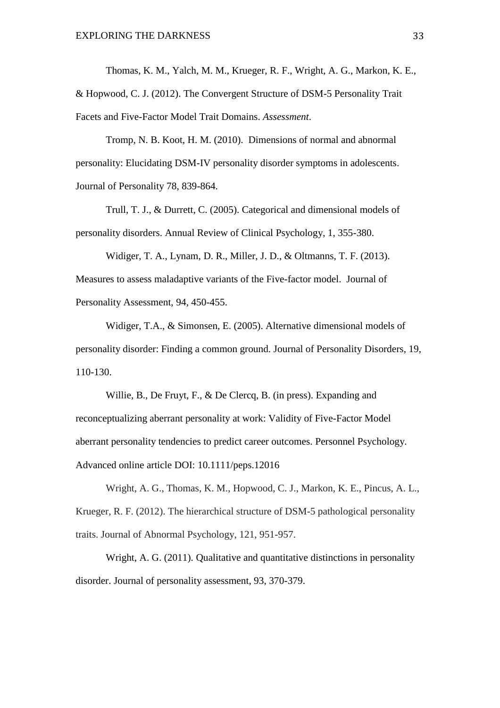Thomas, K. M., Yalch, M. M., Krueger, R. F., Wright, A. G., Markon, K. E., & Hopwood, C. J. (2012). The Convergent Structure of DSM-5 Personality Trait Facets and Five-Factor Model Trait Domains. *Assessment*.

Tromp, N. B. Koot, H. M. (2010). Dimensions of normal and abnormal personality: Elucidating DSM-IV personality disorder symptoms in adolescents. Journal of Personality 78, 839-864.

Trull, T. J., & Durrett, C. (2005). Categorical and dimensional models of personality disorders. Annual Review of Clinical Psychology, 1, 355-380.

Widiger, T. A., Lynam, D. R., Miller, J. D., & Oltmanns, T. F. (2013). Measures to assess maladaptive variants of the Five-factor model. Journal of Personality Assessment, 94, 450-455.

Widiger, T.A., & Simonsen, E. (2005). Alternative dimensional models of personality disorder: Finding a common ground. Journal of Personality Disorders, 19, 110-130.

Willie, B., De Fruyt, F., & De Clercq, B. (in press). Expanding and reconceptualizing aberrant personality at work: Validity of Five-Factor Model aberrant personality tendencies to predict career outcomes. Personnel Psychology*.*  Advanced online article DOI: 10.1111/peps.12016

Wright, A. G., Thomas, K. M., Hopwood, C. J., Markon, K. E., Pincus, A. L., Krueger, R. F. (2012). The hierarchical structure of DSM-5 pathological personality traits. Journal of Abnormal Psychology, 121, 951-957.

Wright, A. G. (2011). Qualitative and quantitative distinctions in personality disorder. Journal of personality assessment, 93, 370-379.